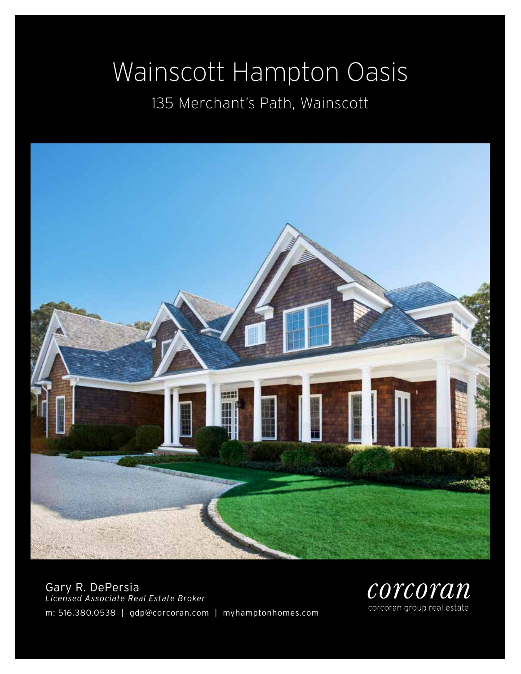# Wainscott Hampton Oasis

## 135 Merchant's Path, Wainscott



Gary R. DePersia *Licensed Associate Real Estate Broker* m: 516.380.0538 | gdp@corcoran.com | myhamptonhomes.com

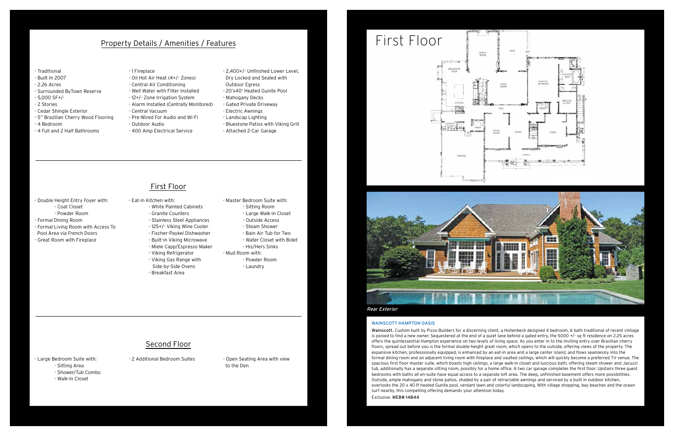### WAINSCOTT HAMPTON OASIS

Wainscott. Custom built by Pizzo Builders for a discerning client, a Hollenbeck designed 4 bedroom, 6 bath traditional of recent vintage is poised to find a new owner. Sequestered at the end of a quiet lane behind a gated entry, the 5000 +/- sq ft residence on 2.25 acres offers the quintessential Hampton experience on two levels of living space. As you enter in to the inviting entry over Brazilian cherry floors, spread out before you is the formal double-height great room, which opens to the outside, offering views of the property. The expansive kitchen, professionally equipped, is enhanced by an eat-in area and a large center island, and flows seamlessly into the formal dining room and an adjacent living room with fireplace and vaulted ceilings, which will quickly become a preferred TV venue. The spacious first floor master suite, which boasts high ceilings, a large walk-in closet and luscious bath, offering steam shower and Jacuzzi tub, additionally has a separate sitting room, possibly for a home office. A two car garage completes the first floor. Upstairs three guest bedrooms with baths all en-suite have equal access to a separate loft area. The deep, unfinished basement offers more possibilities. Outside, ample mahogany and stone patios, shaded by a pair of retractable awnings and serviced by a built in outdoor kitchen, overlooks the 20 x 40 ft heated Gunite pool, verdant lawn and colorful landscaping. With village shopping, bay beaches and the ocean surf nearby, this compelling offering demands your attention today. Exclusive. WEB# 14844

- 2 Additional Bedroom Suites - Open Seating Area with view to the Den

### Property Details / Amenities / Features

## First Floor

### Second Floor

- Large Bedroom Suite with:
	- Sitting Area
	- Shower/Tub Combo
	- Walk-in Closet

- Double Height Entry Foyer with: - Coat Closet
	- Powder Room
- Formal Dining Room
- Formal Living Room with Access To Pool Area via French Doors
- Great Room with Fireplace
- Eat-in Kitchen with: - White Painted Cabinets
	- Granite Counters
	- Stainless Steel Appliances
	- 125+/- Viking Wine Cooler
	- Fischer-Paykel Dishwasher
	- Built-in Viking Microwave - Miele Capp/Espresso Maker
	- Viking Refrigerator
	- Viking Gas Range with
	- Side-by-Side Ovens
	- Breakfast Area
- Master Bedroom Suite with: - Sitting Room - Large Walk-in Closet - Outside Access - Steam Shower - Bain Air Tub for Two - Water Closet with Bidet - His/Hers Sinks - Mud Room with:
	- Powder Room - Laundry
- Traditional
- Built In 2007
- 2.26 Acres
- Surrounded ByTown Reserve
- 5,000 SF+/-
- 2 Stories
- Cedar Shingle Exterior
- 5" Brazilian Cherry Wood Flooring
- 4 Bedroom
- 4 Full and 2 Half Bathrooms
- 1 Fireplace
- Oil Hot Air Heat (4+/- Zones)
- Central Air Conditioning - Well Water with Filter Installed
- 12+/- Zone Irrigation System
- Alarm Installed (Centrally Monitored)
- Central Vacuum
- Pre-Wired For Audio and Wi-Fi
- Outdoor Audio
	- 400 Amp Electrical Service
- 2,400+/- Unfinshed Lower Level, Dry Locked and Sealed with
- Outdoor Egress
- 20'x40' Heated Gunite Pool
- Mahogany Decks
- Gated Private Driveway
- Electric Awnings
- Landscap Lighting
- Bluestone Patios with Viking Grill
- Attached 2-Car Garage

## First Floor



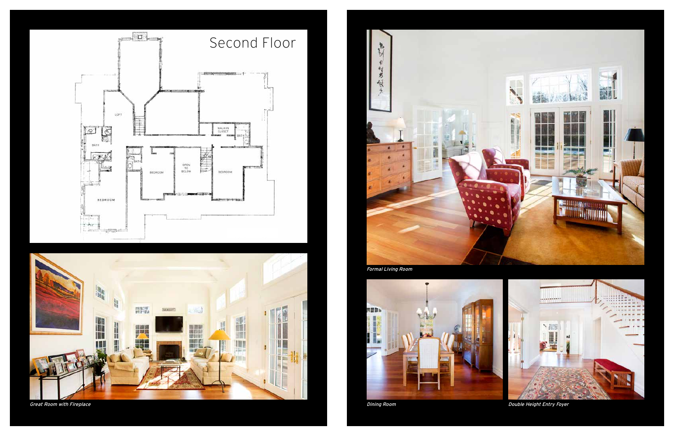



Great Room with Fireplace



Formal Living Room





Dining Room Double Height Entry Foyer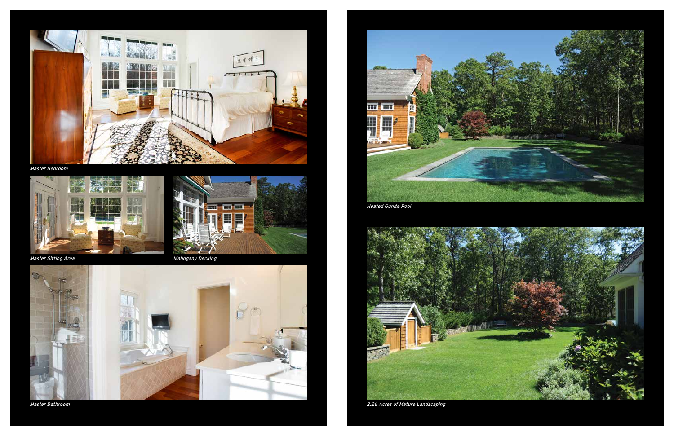

Master Bedroom



Heated Gunite Pool



2.26 Acres of Mature Landscaping